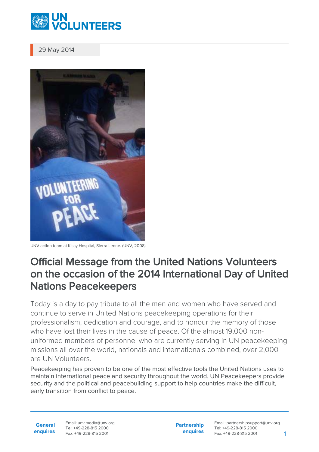

29 May 2014



UNV action team at Kissy Hospital, Sierra Leone. (UNV, 2008)

## Official Message from the United Nations Volunteers on the occasion of the 2014 International Day of United Nations Peacekeepers

Today is a day to pay tribute to all the men and women who have served and continue to serve in United Nations peacekeeping operations for their professionalism, dedication and courage, and to honour the memory of those who have lost their lives in the cause of peace. Of the almost 19,000 nonuniformed members of personnel who are currently serving in UN peacekeeping missions all over the world, nationals and internationals combined, over 2,000 are UN Volunteers.

Peacekeeping has proven to be one of the most effective tools the United Nations uses to maintain international peace and security throughout the world. UN Peacekeepers provide security and the political and peacebuilding support to help countries make the difficult, early transition from conflict to peace.

**General enquires** Email: unv.media@unv.org Tel: +49-228-815 2000 Fax: +49-228-815 2001

**Partnership enquires**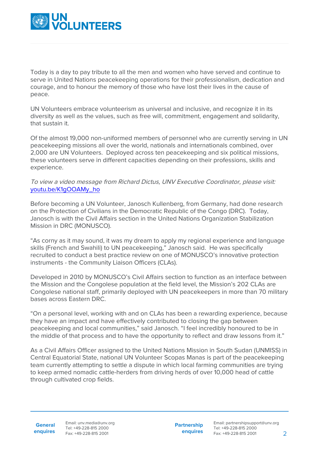

Today is a day to pay tribute to all the men and women who have served and continue to serve in United Nations peacekeeping operations for their professionalism, dedication and courage, and to honour the memory of those who have lost their lives in the cause of peace.

UN Volunteers embrace volunteerism as universal and inclusive, and recognize it in its diversity as well as the values, such as free will, commitment, engagement and solidarity, that sustain it.

Of the almost 19,000 non-uniformed members of personnel who are currently serving in UN peacekeeping missions all over the world, nationals and internationals combined, over 2,000 are UN Volunteers. Deployed across ten peacekeeping and six political missions, these volunteers serve in different capacities depending on their professions, skills and experience.

## To view a video message from Richard Dictus, UNV Executive Coordinator, please visit: [youtu.be/K1gOOAMy\\_ho](http://youtu.be/K1gOOAMy_ho)

Before becoming a UN Volunteer, Janosch Kullenberg, from Germany, had done research on the Protection of Civilians in the Democratic Republic of the Congo (DRC). Today, Janosch is with the Civil Affairs section in the United Nations Organization Stabilization Mission in DRC (MONUSCO).

"As corny as it may sound, it was my dream to apply my regional experience and language skills (French and Swahili) to UN peacekeeping," Janosch said. He was specifically recruited to conduct a best practice review on one of MONUSCO's innovative protection instruments - the Community Liaison Officers (CLAs).

Developed in 2010 by MONUSCO's Civil Affairs section to function as an interface between the Mission and the Congolese population at the field level, the Mission's 202 CLAs are Congolese national staff, primarily deployed with UN peacekeepers in more than 70 military bases across Eastern DRC.

"On a personal level, working with and on CLAs has been a rewarding experience, because they have an impact and have effectively contributed to closing the gap between peacekeeping and local communities," said Janosch. "I feel incredibly honoured to be in the middle of that process and to have the opportunity to reflect and draw lessons from it."

As a Civil Affairs Officer assigned to the United Nations Mission in South Sudan (UNMISS) in Central Equatorial State, national UN Volunteer Scopas Manas is part of the peacekeeping team currently attempting to settle a dispute in which local farming communities are trying to keep armed nomadic cattle-herders from driving herds of over 10,000 head of cattle through cultivated crop fields.

**General enquires** Email: unv.media@unv.org Tel: +49-228-815 2000 Fax: +49-228-815 2001

**Partnership enquires**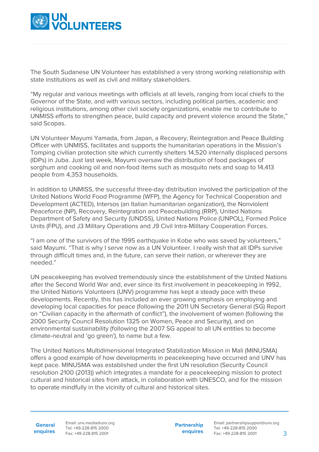

The South Sudanese UN Volunteer has established a very strong working relationship with state institutions as well as civil and military stakeholders.

"My regular and various meetings with officials at all levels, ranging from local chiefs to the Governor of the State, and with various sectors, including political parties, academic and religious institutions, among other civil society organizations, enable me to contribute to UNMISS efforts to strengthen peace, build capacity and prevent violence around the State," said Scopas.

UN Volunteer Mayumi Yamada, from Japan, a Recovery, Reintegration and Peace Building Officer with UNMISS, facilitates and supports the humanitarian operations in the Mission's Tomping civilian protection site which currently shelters 14,520 internally displaced persons (IDPs) in Juba. Just last week, Mayumi oversaw the distribution of food packages of sorghum and cooking oil and non-food items such as mosquito nets and soap to 14,413 people from 4,353 households.

In addition to UNMISS, the successful three-day distribution involved the participation of the United Nations World Food Programme (WFP), the Agency for Technical Cooperation and Development (ACTED), Intersos (an Italian humanitarian organization), the Nonviolent Peaceforce (NP), Recovery, Reintegration and Peacebuilding (RRP), United Nations Department of Safety and Security (UNDSS), United Nations Police (UNPOL), Formed Police Units (FPU), and J3 Military Operations and J9 Civil Intra-Military Cooperation Forces.

"I am one of the survivors of the 1995 earthquake in Kobe who was saved by volunteers," said Mayumi. "That is why I serve now as a UN Volunteer. I really wish that all IDPs survive through difficult times and, in the future, can serve their nation, or wherever they are needed."

UN peacekeeping has evolved tremendously since the establishment of the United Nations after the Second World War and, ever since its first involvement in peacekeeping in 1992, the United Nations Volunteers (UNV) programme has kept a steady pace with these developments. Recently, this has included an ever growing emphasis on employing and developing local capacities for peace (following the 2011 UN Secretary General (SG) Report on "Civilian capacity in the aftermath of conflict"), the involvement of women (following the 2000 Security Council Resolution 1325 on Women, Peace and Security), and on environmental sustainability (following the 2007 SG appeal to all UN entities to become climate-neutral and 'go green'), to name but a few.

The United Nations Multidimensional Integrated Stabilization Mission in Mali (MINUSMA) offers a good example of how developments in peacekeeping have occurred and UNV has kept pace. MINUSMA was established under the first UN resolution (Security Council resolution 2100 (2013)) which integrates a mandate for a peacekeeping mission to protect cultural and historical sites from attack, in collaboration with UNESCO, and for the mission to operate mindfully in the vicinity of cultural and historical sites.

**General enquires** Email: unv.media@unv.org Tel: +49-228-815 2000 Fax: +49-228-815 2001

**Partnership enquires**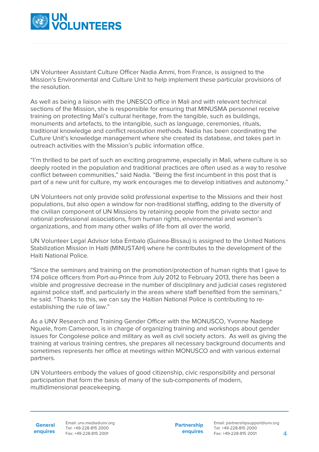

UN Volunteer Assistant Culture Officer Nadia Ammi, from France, is assigned to the Mission's Environmental and Culture Unit to help implement these particular provisions of the resolution.

As well as being a liaison with the UNESCO office in Mali and with relevant technical sections of the Mission, she is responsible for ensuring that MINUSMA personnel receive training on protecting Mali's cultural heritage, from the tangible, such as buildings, monuments and artefacts, to the intangible, such as language, ceremonies, rituals, traditional knowledge and conflict resolution methods. Nadia has been coordinating the Culture Unit's knowledge management where she created its database, and takes part in outreach activities with the Mission's public information office.

"I'm thrilled to be part of such an exciting programme, especially in Mali, where culture is so deeply rooted in the population and traditional practices are often used as a way to resolve conflict between communities," said Nadia. "Being the first incumbent in this post that is part of a new unit for culture, my work encourages me to develop initiatives and autonomy."

UN Volunteers not only provide solid professional expertise to the Missions and their host populations, but also open a window for non-traditional staffing, adding to the diversity of the civilian component of UN Missions by retaining people from the private sector and national professional associations, from human rights, environmental and women's organizations, and from many other walks of life from all over the world.

UN Volunteer Legal Advisor Ioba Embalo (Guinea-Bissau) is assigned to the United Nations Stabilization Mission in Haiti (MINUSTAH) where he contributes to the development of the Haiti National Police.

"Since the seminars and training on the promotion/protection of human rights that I gave to 174 police officers from Port-au-Prince from July 2012 to February 2013, there has been a visible and progressive decrease in the number of disciplinary and judicial cases registered against police staff, and particularly in the areas where staff benefited from the seminars," he said. "Thanks to this, we can say the Haitian National Police is contributing to reestablishing the rule of law."

As a UNV Research and Training Gender Officer with the MONUSCO, Yvonne Nadege Nguele, from Cameroon, is in charge of organizing training and workshops about gender issues for Congolese police and military as well as civil society actors. As well as giving the training at various training centres, she prepares all necessary background documents and sometimes represents her office at meetings within MONUSCO and with various external partners.

UN Volunteers embody the values of good citizenship, civic responsibility and personal participation that form the basis of many of the sub-components of modern, multidimensional peacekeeping.

**General enquires** Email: unv.media@unv.org Tel: +49-228-815 2000 Fax: +49-228-815 2001

**Partnership enquires**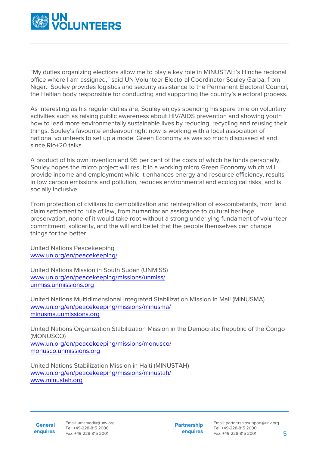

"My duties organizing elections allow me to play a key role in MINUSTAH's Hinche regional office where I am assigned," said UN Volunteer Electoral Coordinator Souley Garba, from Niger. Souley provides logistics and security assistance to the Permanent Electoral Council, the Haitian body responsible for conducting and supporting the country's electoral process.

As interesting as his regular duties are, Souley enjoys spending his spare time on voluntary activities such as raising public awareness about HIV/AIDS prevention and showing youth how to lead more environmentally sustainable lives by reducing, recycling and reusing their things. Souley's favourite endeavour right now is working with a local association of national volunteers to set up a model Green Economy as was so much discussed at and since Rio+20 talks.

A product of his own invention and 95 per cent of the costs of which he funds personally, Souley hopes the micro project will result in a working micro Green Economy which will provide income and employment while it enhances energy and resource efficiency, results in low carbon emissions and pollution, reduces environmental and ecological risks, and is socially inclusive.

From protection of civilians to demobilization and reintegration of ex-combatants, from land claim settlement to rule of law, from humanitarian assistance to cultural heritage preservation, none of it would take root without a strong underlying fundament of volunteer commitment, solidarity, and the will and belief that the people themselves can change things for the better.

United Nations Peacekeeping [www.un.org/en/peacekeeping/](http://www.un.org/en/peacekeeping/)

United Nations Mission in South Sudan (UNMISS) [www.un.org/en/peacekeeping/missions/unmiss/](https://peacekeeping.un.org/en) [unmiss.unmissions.org](http://unmiss.unmissions.org/)

United Nations Multidimensional Integrated Stabilization Mission in Mali (MINUSMA) [www.un.org/en/peacekeeping/missions/minusma/](https://peacekeeping.un.org/en) [minusma.unmissions.org](http://minusma.unmissions.org/)

United Nations Organization Stabilization Mission in the Democratic Republic of the Congo (MONUSCO) [www.un.org/en/peacekeeping/missions/monusco/](https://peacekeeping.un.org/en) [monusco.unmissions.org](http://monusco.unmissions.org/)

United Nations Stabilization Mission in Haiti (MINUSTAH) [www.un.org/en/peacekeeping/missions/minustah/](https://peacekeeping.un.org/en) [www.minustah.org](http://minustah.unmissions.org)

**Partnership enquires**